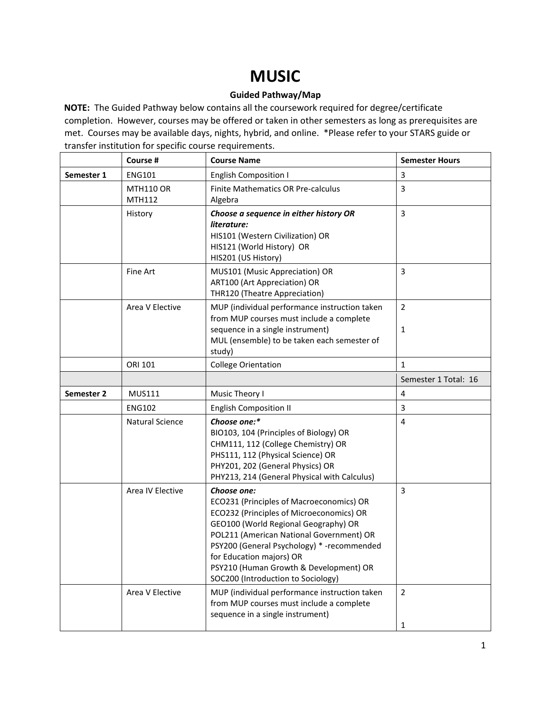## **MUSIC**

## **Guided Pathway/Map**

**NOTE:** The Guided Pathway below contains all the coursework required for degree/certificate completion. However, courses may be offered or taken in other semesters as long as prerequisites are met. Courses may be available days, nights, hybrid, and online. \*Please refer to your STARS guide or transfer institution for specific course requirements.

|            | Course #                   | <b>Course Name</b>                                                                                                                                                                                                                                                                                                                                 | <b>Semester Hours</b>          |
|------------|----------------------------|----------------------------------------------------------------------------------------------------------------------------------------------------------------------------------------------------------------------------------------------------------------------------------------------------------------------------------------------------|--------------------------------|
| Semester 1 | <b>ENG101</b>              | <b>English Composition I</b>                                                                                                                                                                                                                                                                                                                       | 3                              |
|            | <b>MTH110 OR</b><br>MTH112 | Finite Mathematics OR Pre-calculus<br>Algebra                                                                                                                                                                                                                                                                                                      | 3                              |
|            | History                    | Choose a sequence in either history OR<br>literature:<br>HIS101 (Western Civilization) OR<br>HIS121 (World History) OR<br>HIS201 (US History)                                                                                                                                                                                                      | 3                              |
|            | Fine Art                   | MUS101 (Music Appreciation) OR<br>ART100 (Art Appreciation) OR<br>THR120 (Theatre Appreciation)                                                                                                                                                                                                                                                    | 3                              |
|            | Area V Elective            | MUP (individual performance instruction taken<br>from MUP courses must include a complete<br>sequence in a single instrument)<br>MUL (ensemble) to be taken each semester of<br>study)                                                                                                                                                             | $\overline{2}$<br>$\mathbf{1}$ |
|            | ORI 101                    | <b>College Orientation</b>                                                                                                                                                                                                                                                                                                                         | $\mathbf{1}$                   |
|            |                            |                                                                                                                                                                                                                                                                                                                                                    | Semester 1 Total: 16           |
| Semester 2 | <b>MUS111</b>              | Music Theory I                                                                                                                                                                                                                                                                                                                                     | 4                              |
|            | <b>ENG102</b>              | <b>English Composition II</b>                                                                                                                                                                                                                                                                                                                      | 3                              |
|            | <b>Natural Science</b>     | Choose one:*<br>BIO103, 104 (Principles of Biology) OR<br>CHM111, 112 (College Chemistry) OR<br>PHS111, 112 (Physical Science) OR<br>PHY201, 202 (General Physics) OR<br>PHY213, 214 (General Physical with Calculus)                                                                                                                              | $\overline{4}$                 |
|            | Area IV Elective           | Choose one:<br>ECO231 (Principles of Macroeconomics) OR<br>ECO232 (Principles of Microeconomics) OR<br>GEO100 (World Regional Geography) OR<br>POL211 (American National Government) OR<br>PSY200 (General Psychology) * - recommended<br>for Education majors) OR<br>PSY210 (Human Growth & Development) OR<br>SOC200 (Introduction to Sociology) | 3                              |
|            | Area V Elective            | MUP (individual performance instruction taken<br>from MUP courses must include a complete<br>sequence in a single instrument)                                                                                                                                                                                                                      | $\overline{2}$<br>1            |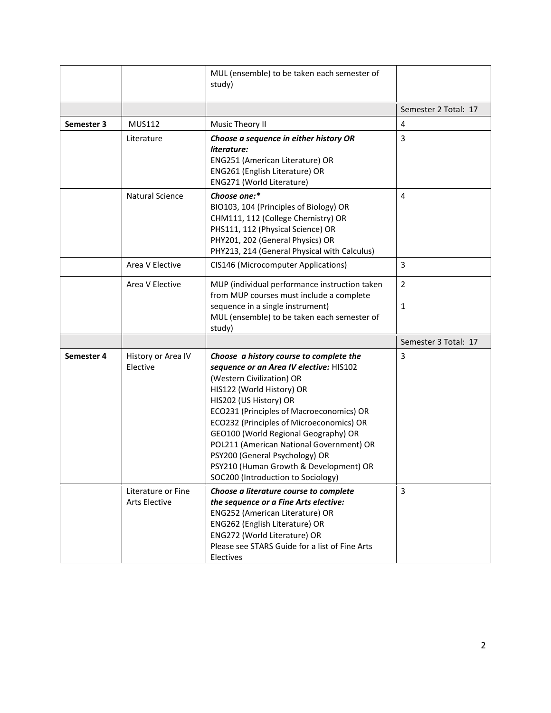|            |                                            | MUL (ensemble) to be taken each semester of<br>study)                                                                                                                                                                                                                                                                                                                                                                                                                |                                |
|------------|--------------------------------------------|----------------------------------------------------------------------------------------------------------------------------------------------------------------------------------------------------------------------------------------------------------------------------------------------------------------------------------------------------------------------------------------------------------------------------------------------------------------------|--------------------------------|
|            |                                            |                                                                                                                                                                                                                                                                                                                                                                                                                                                                      | Semester 2 Total: 17           |
| Semester 3 | <b>MUS112</b>                              | Music Theory II                                                                                                                                                                                                                                                                                                                                                                                                                                                      | 4                              |
|            | Literature                                 | Choose a sequence in either history OR<br>literature:<br>ENG251 (American Literature) OR<br>ENG261 (English Literature) OR<br>ENG271 (World Literature)                                                                                                                                                                                                                                                                                                              | 3                              |
|            | <b>Natural Science</b>                     | Choose one:*<br>BIO103, 104 (Principles of Biology) OR<br>CHM111, 112 (College Chemistry) OR<br>PHS111, 112 (Physical Science) OR<br>PHY201, 202 (General Physics) OR<br>PHY213, 214 (General Physical with Calculus)                                                                                                                                                                                                                                                | $\overline{4}$                 |
|            | Area V Elective                            | CIS146 (Microcomputer Applications)                                                                                                                                                                                                                                                                                                                                                                                                                                  | 3                              |
|            | Area V Elective                            | MUP (individual performance instruction taken<br>from MUP courses must include a complete<br>sequence in a single instrument)<br>MUL (ensemble) to be taken each semester of<br>study)                                                                                                                                                                                                                                                                               | $\overline{2}$<br>$\mathbf{1}$ |
|            |                                            |                                                                                                                                                                                                                                                                                                                                                                                                                                                                      | Semester 3 Total: 17           |
| Semester 4 | History or Area IV<br>Elective             | Choose a history course to complete the<br>sequence or an Area IV elective: HIS102<br>(Western Civilization) OR<br>HIS122 (World History) OR<br>HIS202 (US History) OR<br>ECO231 (Principles of Macroeconomics) OR<br>ECO232 (Principles of Microeconomics) OR<br>GEO100 (World Regional Geography) OR<br>POL211 (American National Government) OR<br>PSY200 (General Psychology) OR<br>PSY210 (Human Growth & Development) OR<br>SOC200 (Introduction to Sociology) | 3                              |
|            | Literature or Fine<br><b>Arts Elective</b> | Choose a literature course to complete<br>the sequence or a Fine Arts elective:<br>ENG252 (American Literature) OR<br>ENG262 (English Literature) OR<br>ENG272 (World Literature) OR<br>Please see STARS Guide for a list of Fine Arts<br>Electives                                                                                                                                                                                                                  | 3                              |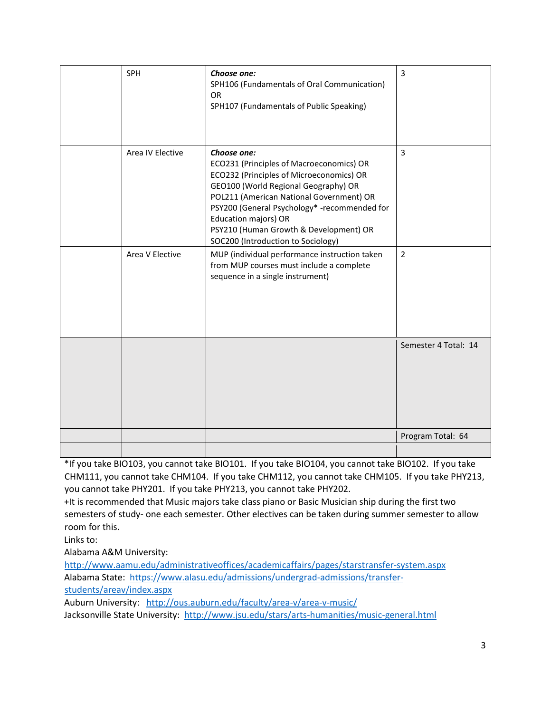| <b>SPH</b>       | Choose one:<br>SPH106 (Fundamentals of Oral Communication)<br><b>OR</b><br>SPH107 (Fundamentals of Public Speaking)                                                                                                                                                                                                                             | $\overline{3}$       |
|------------------|-------------------------------------------------------------------------------------------------------------------------------------------------------------------------------------------------------------------------------------------------------------------------------------------------------------------------------------------------|----------------------|
| Area IV Elective | Choose one:<br>ECO231 (Principles of Macroeconomics) OR<br>ECO232 (Principles of Microeconomics) OR<br>GEO100 (World Regional Geography) OR<br>POL211 (American National Government) OR<br>PSY200 (General Psychology* -recommended for<br>Education majors) OR<br>PSY210 (Human Growth & Development) OR<br>SOC200 (Introduction to Sociology) | 3                    |
| Area V Elective  | MUP (individual performance instruction taken<br>from MUP courses must include a complete<br>sequence in a single instrument)                                                                                                                                                                                                                   | $\overline{2}$       |
|                  |                                                                                                                                                                                                                                                                                                                                                 | Semester 4 Total: 14 |
|                  |                                                                                                                                                                                                                                                                                                                                                 | Program Total: 64    |
|                  |                                                                                                                                                                                                                                                                                                                                                 |                      |

\*If you take BIO103, you cannot take BIO101. If you take BIO104, you cannot take BIO102. If you take CHM111, you cannot take CHM104. If you take CHM112, you cannot take CHM105. If you take PHY213, you cannot take PHY201. If you take PHY213, you cannot take PHY202.

+It is recommended that Music majors take class piano or Basic Musician ship during the first two semesters of study- one each semester. Other electives can be taken during summer semester to allow room for this.

Links to:

Alabama A&M University:

[http://www.aamu.edu/administrativeoffices/academicaffairs/pages/starstransfer-system.aspx](http://www.aamu.edu/administrativeoffices/academicaffairs/pages/stars-transfer-system.aspx) Alabama State: [https://www.alasu.edu/admissions/undergrad-admissions/transfer](https://www.alasu.edu/admissions/undergrad-admissions/transfer-students/area-v/index.aspx)[students/areav/index.aspx](https://www.alasu.edu/admissions/undergrad-admissions/transfer-students/area-v/index.aspx)

Auburn University: <http://ous.auburn.edu/faculty/area-v/area-v-music/> Jacksonville State University: <http://www.jsu.edu/stars/arts-humanities/music-general.html>